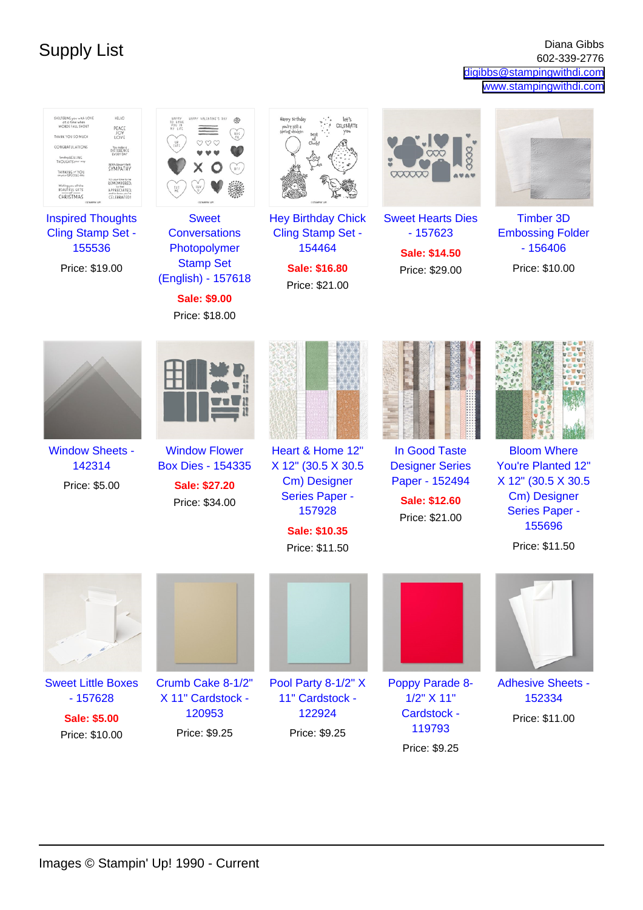Supply List Diana Gibbs Diana Gibbs Diana Gibbs Diana Gibbs Diana Gibbs Diana Gibbs Diana Gibbs 602-339-2776 602-339-2776 [digibbs@stampingwithdi.com](mailto:digibbs@stampingwithdi.com) [www.stampingwithdi.com](http://www.stampingwithdi.com)

| HELLO<br>SHELTERING you with LOVE<br>at a time when<br>WORDS FALL SHORT<br>PEACE<br>JOY<br>THANK YOU SO MUCH<br>LOVE<br>CONGRATULATIONS<br><b>DIFFERENCE</b><br>Sending HEALING<br>THOUGHTS your<br>With Heartfelt<br>SYMPATHY<br>THINKING of YOU<br>on your SPECIAL day<br>REMEMPERED,<br>Wishing you all the<br>REAUTIFUL GIFTS<br>APPRECIATED,<br>CHRISTMAS<br>CELEBRATEDI | HAPPY<br>TO HAVE<br>YOU IN<br>MY LIFE<br>URPPY VALENTINE'S DAY<br>黍<br>HVG<br>ME<br><b>Sweet</b>                        | Happy Birthday<br>let's<br>CELEBRATE<br>you're still a<br>spring chicken<br>you<br>Best<br>Cluck<br><b>Hey Birthday Chick</b> | 000000<br><b>Sweet Hearts Dies</b>                                                           | <b>Timber 3D</b>                                                                                                                            |
|-------------------------------------------------------------------------------------------------------------------------------------------------------------------------------------------------------------------------------------------------------------------------------------------------------------------------------------------------------------------------------|-------------------------------------------------------------------------------------------------------------------------|-------------------------------------------------------------------------------------------------------------------------------|----------------------------------------------------------------------------------------------|---------------------------------------------------------------------------------------------------------------------------------------------|
| <b>Inspired Thoughts</b><br>Cling Stamp Set -<br>155536<br>Price: \$19.00                                                                                                                                                                                                                                                                                                     | <b>Conversations</b><br>Photopolymer<br><b>Stamp Set</b><br>(English) - 157618<br><b>Sale: \$9.00</b><br>Price: \$18.00 | Cling Stamp Set -<br>154464<br>Sale: \$16.80<br>Price: \$21.00                                                                | $-157623$<br>Sale: \$14.50<br>Price: \$29.00                                                 | <b>Embossing Folder</b><br>$-156406$<br>Price: \$10.00                                                                                      |
|                                                                                                                                                                                                                                                                                                                                                                               |                                                                                                                         |                                                                                                                               |                                                                                              |                                                                                                                                             |
| <b>Window Sheets -</b><br>142314<br>Price: \$5.00                                                                                                                                                                                                                                                                                                                             | <b>Window Flower</b><br><b>Box Dies - 154335</b><br>Sale: \$27.20<br>Price: \$34.00                                     | Heart & Home 12"<br>X 12" (30.5 X 30.5<br>Cm) Designer<br><b>Series Paper -</b><br>157928<br>Sale: \$10.35<br>Price: \$11.50  | In Good Taste<br><b>Designer Series</b><br>Paper - 152494<br>Sale: \$12.60<br>Price: \$21.00 | <b>Bloom Where</b><br><b>You're Planted 12"</b><br>X 12" (30.5 X 30.5)<br>Cm) Designer<br><b>Series Paper -</b><br>155696<br>Price: \$11.50 |
|                                                                                                                                                                                                                                                                                                                                                                               |                                                                                                                         |                                                                                                                               |                                                                                              |                                                                                                                                             |
| <b>Sweet Little Boxes</b><br>$-157628$<br><b>Sale: \$5.00</b><br>Price: \$10.00                                                                                                                                                                                                                                                                                               | Crumb Cake 8-1/2"<br>X 11" Cardstock -<br>120953<br>Price: \$9.25                                                       | Pool Party 8-1/2" X<br>11" Cardstock -<br>122924<br>Price: \$9.25                                                             | Poppy Parade 8-<br>1/2" X 11"<br><b>Cardstock -</b><br>119793<br>Price: \$9.25               | <b>Adhesive Sheets -</b><br>152334<br>Price: \$11.00                                                                                        |